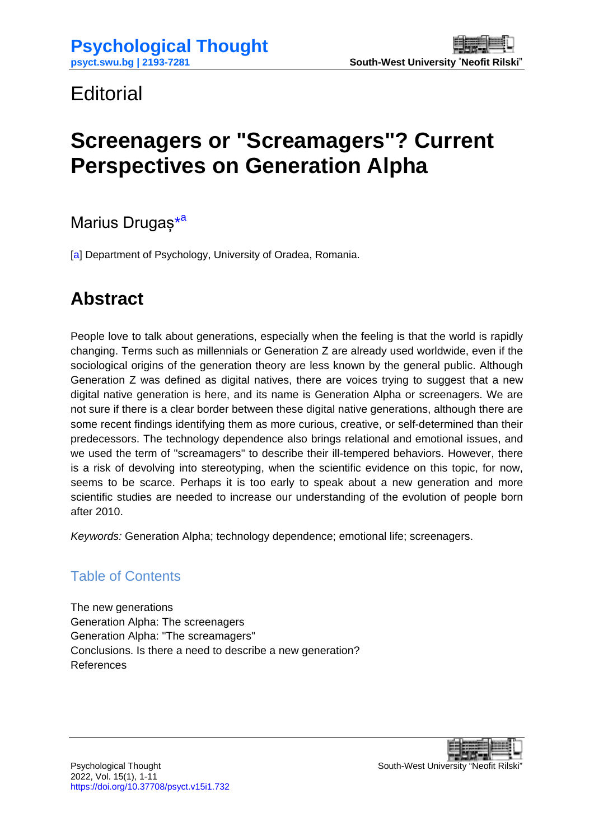## <span id="page-0-0"></span>**Editorial**

# **Screenagers or "Screamagers"? Current Perspectives on Generation Alpha**

Marius Drugaș<sup>[\\*](#page-10-0)[a](#page-10-0)</sup>

[\[a\]](#page-10-1) Department of Psychology, University of Oradea, Romania.

## **Abstract**

People love to talk about generations, especially when the feeling is that the world is rapidly changing. Terms such as millennials or Generation Z are already used worldwide, even if the sociological origins of the generation theory are less known by the general public. Although Generation Z was defined as digital natives, there are voices trying to suggest that a new digital native generation is here, and its name is Generation Alpha or screenagers. We are not sure if there is a clear border between these digital native generations, although there are some recent findings identifying them as more curious, creative, or self-determined than their predecessors. The technology dependence also brings relational and emotional issues, and we used the term of "screamagers" to describe their ill-tempered behaviors. However, there is a risk of devolving into stereotyping, when the scientific evidence on this topic, for now, seems to be scarce. Perhaps it is too early to speak about a new generation and more scientific studies are needed to increase our understanding of the evolution of people born after 2010.

*Keywords:* Generation Alpha; technology dependence; emotional life; screenagers.

#### Table of Contents

[The new generations](#page-2-0) [Generation Alpha: The screenagers](#page-4-0) [Generation Alpha: "The screamagers"](#page-5-0) [Conclusions. Is there a need to describe a new generation?](#page-6-0) [References](#page-8-0)

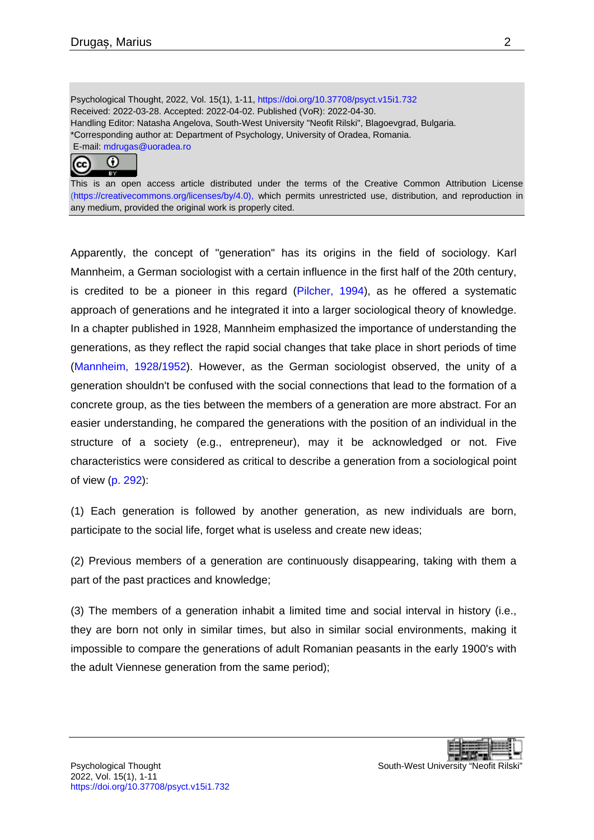Psychological Thought, 2022, Vol. 15(1), 1-11,<https://doi.org/10.37708/psyct.v15i1.732> Received: 2022-03-28. Accepted: 2022-04-02. Published (VoR): 2022-04-30. Handling Editor: Natasha Angelova, South-West University "Neofit Rilski", Blagoevgrad, Bulgaria. \*Corresponding author at: Department of Psychology, University of Oradea, Romania. E-mail: [mdrugas@uoradea.ro](mailto:mdrugas@uoradea.ro)



This is an open access article distributed under the terms of the Creative Common Attribution License [\(https://creativecommons.org/licenses/by/4.0\)](https://creativecommons.org/licenses/by/4.0), which permits unrestricted use, distribution, and reproduction in any medium, provided the original work is properly cited.

Apparently, the concept of "generation" has its origins in the field of sociology. Karl Mannheim, a German sociologist with a certain influence in the first half of the 20th century, is credited to be a pioneer in this regard [\(Pilcher, 1994\)](#page-9-0), as he offered a systematic approach of generations and he integrated it into a larger sociological theory of knowledge. In a chapter published in 1928, Mannheim emphasized the importance of understanding the generations, as they reflect the rapid social changes that take place in short periods of time [\(Mannheim, 1928/1952\)](#page-9-1). However, as the German sociologist observed, the unity of a generation shouldn't be confused with the social connections that lead to the formation of a concrete group, as the ties between the members of a generation are more abstract. For an easier understanding, he compared the generations with the position of an individual in the structure of a society (e.g., entrepreneur), may it be acknowledged or not. Five characteristics were considered as critical to describe a generation from a sociological point of view [\(p. 292\)](#page-9-1):

(1) Each generation is followed by another generation, as new individuals are born, participate to the social life, forget what is useless and create new ideas;

(2) Previous members of a generation are continuously disappearing, taking with them a part of the past practices and knowledge;

(3) The members of a generation inhabit a limited time and social interval in history (i.e., they are born not only in similar times, but also in similar social environments, making it impossible to compare the generations of adult Romanian peasants in the early 1900's with the adult Viennese generation from the same period);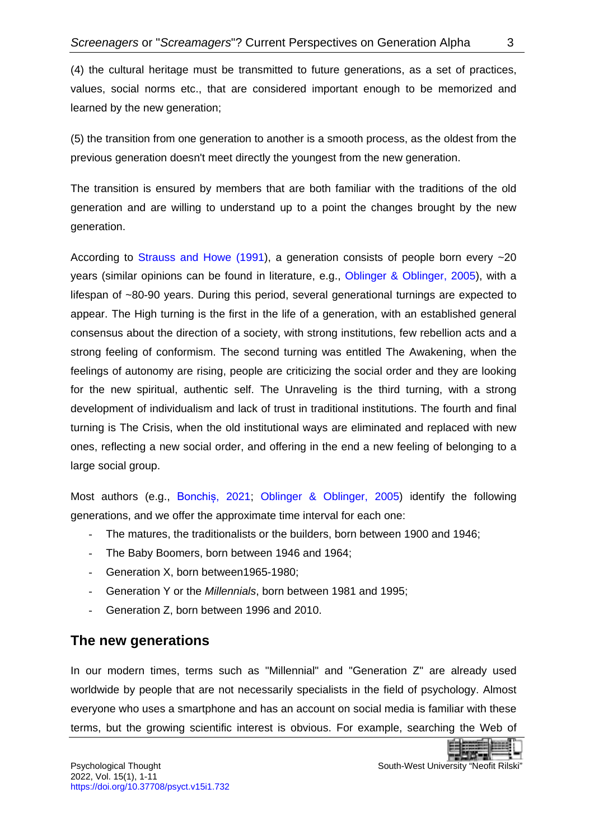(4) the cultural heritage must be transmitted to future generations, as a set of practices, values, social norms etc., that are considered important enough to be memorized and learned by the new generation;

(5) the transition from one generation to another is a smooth process, as the oldest from the previous generation doesn't meet directly the youngest from the new generation.

The transition is ensured by members that are both familiar with the traditions of the old generation and are willing to understand up to a point the changes brought by the new generation.

According to [Strauss and Howe \(1991\)](#page-9-2), a generation consists of people born every ~20 years (similar opinions can be found in literature, e.g., [Oblinger & Oblinger, 2005\)](#page-9-3), with a lifespan of ~80-90 years. During this period, several generational turnings are expected to appear. The High turning is the first in the life of a generation, with an established general consensus about the direction of a society, with strong institutions, few rebellion acts and a strong feeling of conformism. The second turning was entitled The Awakening, when the feelings of autonomy are rising, people are criticizing the social order and they are looking for the new spiritual, authentic self. The Unraveling is the third turning, with a strong development of individualism and lack of trust in traditional institutions. The fourth and final turning is The Crisis, when the old institutional ways are eliminated and replaced with new ones, reflecting a new social order, and offering in the end a new feeling of belonging to a large social group.

Most authors (e.g., [Bonchiș,](#page-8-1) 2021; [Oblinger & Oblinger, 2005\)](#page-9-3) identify the following generations, and we offer the approximate time interval for each one:

- The matures, the traditionalists or the builders, born between 1900 and 1946;
- The Baby Boomers, born between 1946 and 1964;
- Generation X, born between1965-1980;
- Generation Y or the *Millennials*, born between 1981 and 1995;
- Generation Z, born between 1996 and 2010.

#### <span id="page-2-0"></span>**The new generations**

In our modern times, terms such as "Millennial" and "Generation Z" are already used worldwide by people that are not necessarily specialists in the field of psychology. Almost everyone who uses a smartphone and has an account on social media is familiar with these terms, but the growing scientific interest is obvious. For example, searching the Web of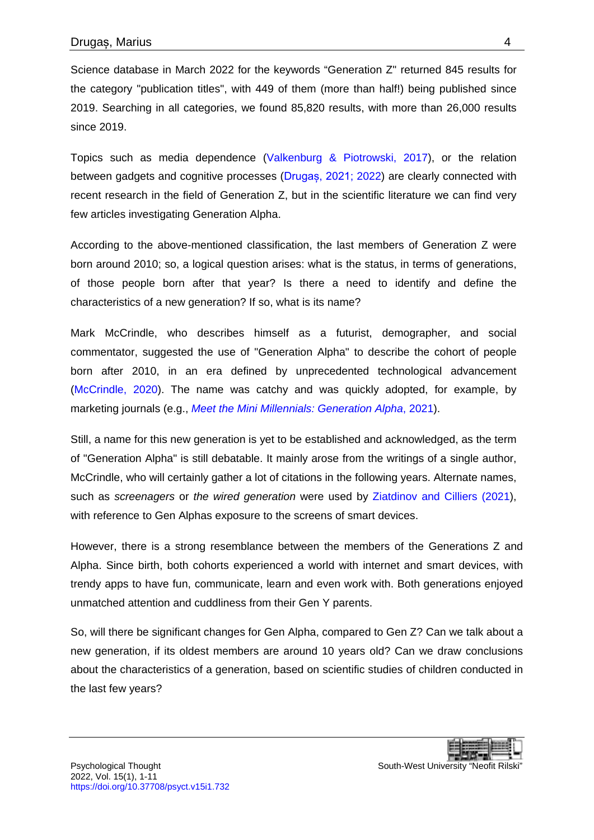Science database in March 2022 for the keywords "Generation Z" returned 845 results for the category "publication titles", with 449 of them (more than half!) being published since 2019. Searching in all categories, we found 85,820 results, with more than 26,000 results since 2019.

Topics such as media dependence [\(Valkenburg & Piotrowski, 2017\)](#page-9-4), or the relation between gadgets and cognitive processes ([Drugaș, 2021;](#page-8-2) [2022\)](#page-8-3) are clearly connected with recent research in the field of Generation Z, but in the scientific literature we can find very few articles investigating Generation Alpha.

According to the above-mentioned classification, the last members of Generation Z were born around 2010; so, a logical question arises: what is the status, in terms of generations, of those people born after that year? Is there a need to identify and define the characteristics of a new generation? If so, what is its name?

Mark McCrindle, who describes himself as a futurist, demographer, and social commentator, suggested the use of "Generation Alpha" to describe the cohort of people born after 2010, in an era defined by unprecedented technological advancement [\(McCrindle, 2020\)](#page-9-5). The name was catchy and was quickly adopted, for example, by marketing journals (e.g., *[Meet the Mini Millennials: Generation Alpha](#page-9-6)*, 2021).

Still, a name for this new generation is yet to be established and acknowledged, as the term of "Generation Alpha" is still debatable. It mainly arose from the writings of a single author, McCrindle, who will certainly gather a lot of citations in the following years. Alternate names, such as *screenagers* or *the wired generation* were used by [Ziatdinov and](#page-10-2) Cilliers (2021), with reference to Gen Alphas exposure to the screens of smart devices.

However, there is a strong resemblance between the members of the Generations Z and Alpha. Since birth, both cohorts experienced a world with internet and smart devices, with trendy apps to have fun, communicate, learn and even work with. Both generations enjoyed unmatched attention and cuddliness from their Gen Y parents.

So, will there be significant changes for Gen Alpha, compared to Gen Z? Can we talk about a new generation, if its oldest members are around 10 years old? Can we draw conclusions about the characteristics of a generation, based on scientific studies of children conducted in the last few years?

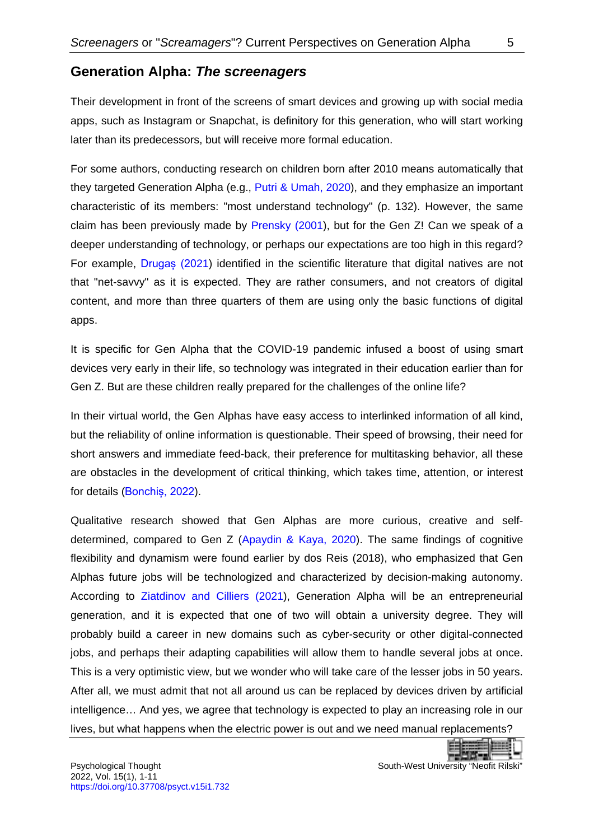#### <span id="page-4-0"></span>**Generation Alpha:** *The screenagers*

Their development in front of the screens of smart devices and growing up with social media apps, such as Instagram or Snapchat, is definitory for this generation, who will start working later than its predecessors, but will receive more formal education.

For some authors, conducting research on children born after 2010 means automatically that they targeted Generation Alpha (e.g., [Putri & Umah, 2020\)](#page-9-7), and they emphasize an important characteristic of its members: "most understand technology" (p. 132). However, the same claim has been previously made by [Prensky \(2001\)](#page-9-8), but for the Gen Z! Can we speak of a deeper understanding of technology, or perhaps our expectations are too high in this regard? For example, Drugas (2021) identified in the scientific literature that digital natives are not that "net-savvy" as it is expected. They are rather consumers, and not creators of digital content, and more than three quarters of them are using only the basic functions of digital apps.

It is specific for Gen Alpha that the COVID-19 pandemic infused a boost of using smart devices very early in their life, so technology was integrated in their education earlier than for Gen Z. But are these children really prepared for the challenges of the online life?

In their virtual world, the Gen Alphas have easy access to interlinked information of all kind, but the reliability of online information is questionable. Their speed of browsing, their need for short answers and immediate feed-back, their preference for multitasking behavior, all these are obstacles in the development of critical thinking, which takes time, attention, or interest for details ([Bonchiș, 2022](#page-8-4)).

Qualitative research showed that Gen Alphas are more curious, creative and selfdetermined, compared to Gen Z [\(Apaydin & Kaya, 2020\)](#page-8-5). The same findings of cognitive flexibility and dynamism were found earlier by dos Reis (2018), who emphasized that Gen Alphas future jobs will be technologized and characterized by decision-making autonomy. According to [Ziatdinov and](#page-10-2) Cilliers (2021), Generation Alpha will be an entrepreneurial generation, and it is expected that one of two will obtain a university degree. They will probably build a career in new domains such as cyber-security or other digital-connected jobs, and perhaps their adapting capabilities will allow them to handle several jobs at once. This is a very optimistic view, but we wonder who will take care of the lesser jobs in 50 years. After all, we must admit that not all around us can be replaced by devices driven by artificial intelligence… And yes, we agree that technology is expected to play an increasing role in our lives, but what happens when the electric power is out and we need manual replacements?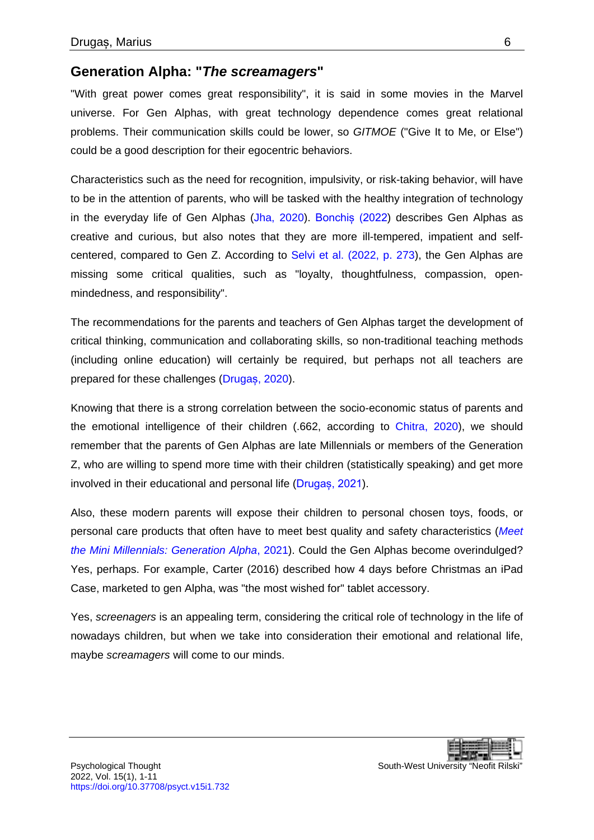#### <span id="page-5-0"></span>**Generation Alpha: "***The screamagers***"**

"With great power comes great responsibility", it is said in some movies in the Marvel universe. For Gen Alphas, with great technology dependence comes great relational problems. Their communication skills could be lower, so *GITMOE* ("Give It to Me, or Else") could be a good description for their egocentric behaviors.

Characteristics such as the need for recognition, impulsivity, or risk-taking behavior, will have to be in the attention of parents, who will be tasked with the healthy integration of technology in the everyday life of Gen Alphas [\(Jha, 2020\)](#page-8-6). [Bonchiș \(2022](#page-8-4)) describes Gen Alphas as creative and curious, but also notes that they are more ill-tempered, impatient and selfcentered, compared to Gen Z. According to [Selvi et al. \(2022, p. 273\)](#page-9-9), the Gen Alphas are missing some critical qualities, such as "loyalty, thoughtfulness, compassion, openmindedness, and responsibility".

The recommendations for the parents and teachers of Gen Alphas target the development of critical thinking, communication and collaborating skills, so non-traditional teaching methods (including online education) will certainly be required, but perhaps not all teachers are prepared for these challenges (Drugaș[, 2020\)](#page-8-7).

Knowing that there is a strong correlation between the socio-economic status of parents and the emotional intelligence of their children (.662, according to [Chitra, 2020\)](#page-8-8), we should remember that the parents of Gen Alphas are late Millennials or members of the Generation Z, who are willing to spend more time with their children (statistically speaking) and get more involved in their educational and personal life ([Drugaș, 2021](#page-8-2)).

Also, these modern parents will expose their children to personal chosen toys, foods, or personal care products that often have to meet best quality and safety characteristics (*[Meet](#page-9-6)  [the Mini Millennials: Generation Alpha](#page-9-6)*, 2021). Could the Gen Alphas become overindulged? Yes, perhaps. For example, Carter (2016) described how 4 days before Christmas an iPad Case, marketed to gen Alpha, was "the most wished for" tablet accessory.

Yes, *screenagers* is an appealing term, considering the critical role of technology in the life of nowadays children, but when we take into consideration their emotional and relational life, maybe *screamagers* will come to our minds.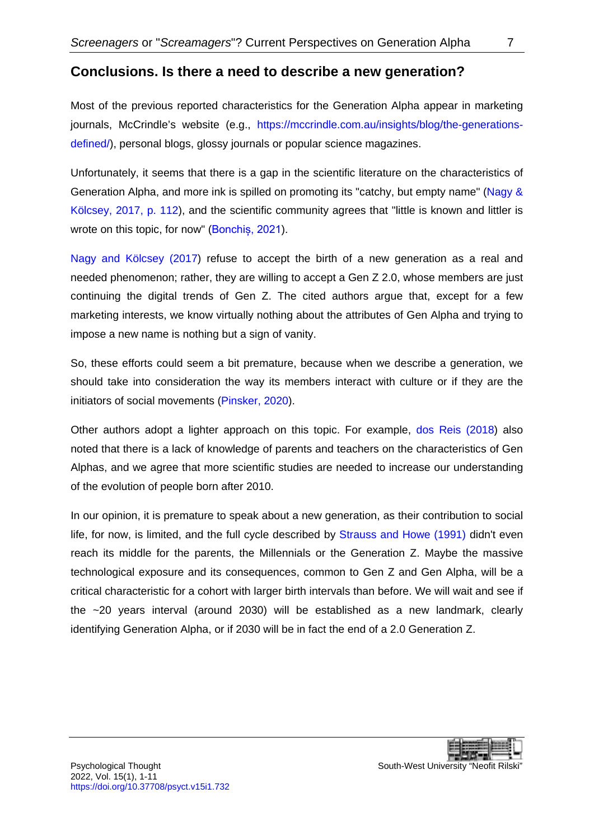<span id="page-6-0"></span>Most of the previous reported characteristics for the Generation Alpha appear in marketing journals, McCrindle's website (e.g., [https://mccrindle.com.au/insights/blog/the-generations](https://mccrindle.com.au/insights/blog/the-generations-defined/)[defined/\)](https://mccrindle.com.au/insights/blog/the-generations-defined/), personal blogs, glossy journals or popular science magazines.

Unfortunately, it seems that there is a gap in the scientific literature on the characteristics of Generation Alpha, and more ink is spilled on promoting its "catchy, but empty name" [\(Nagy &](#page-9-10)  [Kölcsey, 2017, p. 112\)](#page-9-10), and the scientific community agrees that "little is known and littler is wrote on this topic, for now" ([Bonchiș, 2021](#page-8-1)).

Nagy and [Kölcsey \(2017\)](#page-9-10) refuse to accept the birth of a new generation as a real and needed phenomenon; rather, they are willing to accept a Gen Z 2.0, whose members are just continuing the digital trends of Gen Z. The cited authors argue that, except for a few marketing interests, we know virtually nothing about the attributes of Gen Alpha and trying to impose a new name is nothing but a sign of vanity.

So, these efforts could seem a bit premature, because when we describe a generation, we should take into consideration the way its members interact with culture or if they are the initiators of social movements [\(Pinsker, 2020\)](#page-9-11).

Other authors adopt a lighter approach on this topic. For example, [dos Reis](#page-8-9) (2018) also noted that there is a lack of knowledge of parents and teachers on the characteristics of Gen Alphas, and we agree that more scientific studies are needed to increase our understanding of the evolution of people born after 2010.

In our opinion, it is premature to speak about a new generation, as their contribution to social life, for now, is limited, and the full cycle described by [Strauss and Howe \(1991\)](#page-9-2) didn't even reach its middle for the parents, the Millennials or the Generation Z. Maybe the massive technological exposure and its consequences, common to Gen Z and Gen Alpha, will be a critical characteristic for a cohort with larger birth intervals than before. We will wait and see if the ~20 years interval (around 2030) will be established as a new landmark, clearly identifying Generation Alpha, or if 2030 will be in fact the end of a 2.0 Generation Z.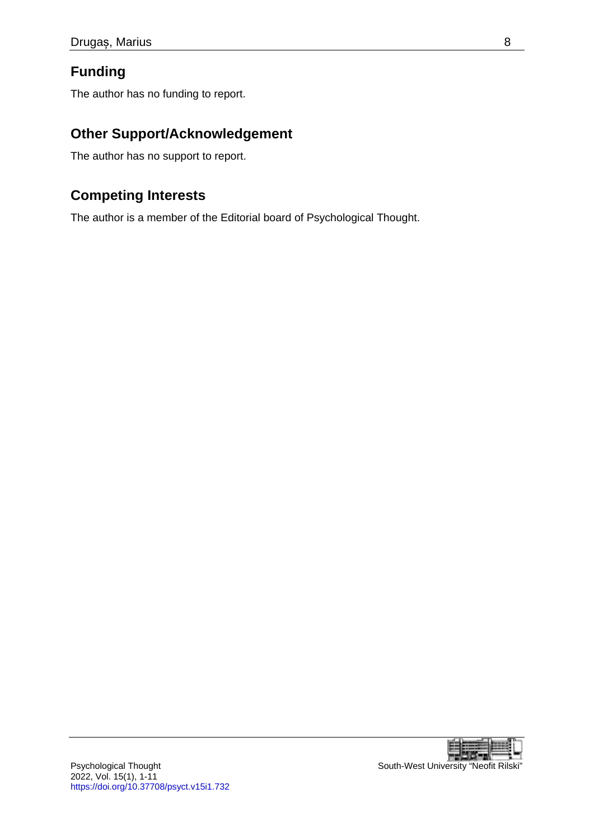### **Funding**

The author has no funding to report.

#### **Other Support/Acknowledgement**

The author has no support to report.

### **Competing Interests**

The author is a member of the Editorial board of Psychological Thought.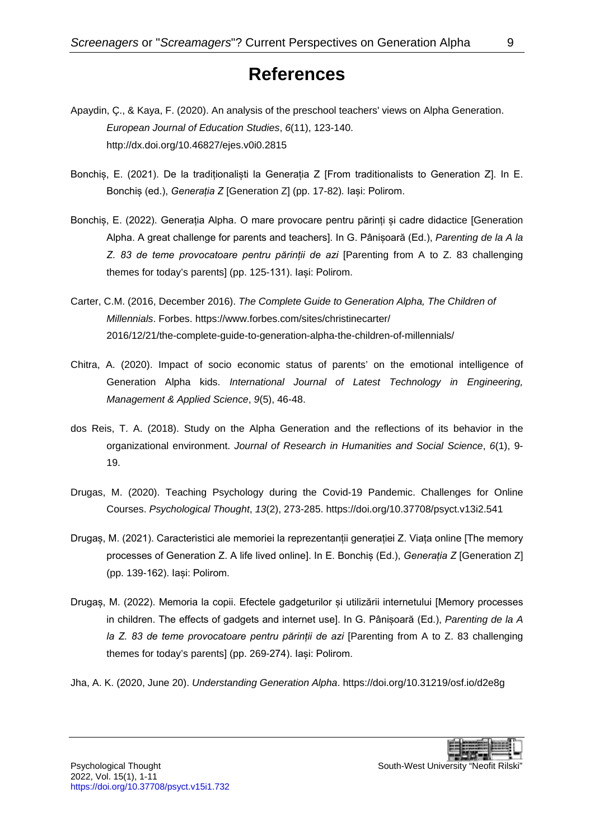## **References**

- <span id="page-8-5"></span><span id="page-8-0"></span>Apaydin, Ç., & Kaya, F. (2020). An analysis of the preschool teachers' views on Alpha Generation. *European Journal of Education Studies*, *6*(11), 123-140. <http://dx.doi.org/10.46827/ejes.v0i0.2815>
- <span id="page-8-1"></span>Bonchis, E. (2021). De la tradiționaliști la Generația Z [From tradiționalists to Generation Z]. In E. Bonchiș (ed.), *Generația Z* [Generation Z] (pp. 17-82)*.* Iași: Polirom.
- <span id="page-8-4"></span>Bonchiș, E. (2022). Generația Alpha. O mare provocare pentru părinți și cadre didactice [Generation Alpha. A great challenge for parents and teachers]. In G. Pânișoară (Ed.), *Parenting de la A la Z. 83 de teme provocatoare pentru părinții de azi* [Parenting from A to Z. 83 challenging themes for today's parents] (pp. 125-131). Iași: Polirom.
- Carter, C.M. (2016, December 2016). *The Complete Guide to Generation Alpha, The Children of Millennials*. Forbes. [https://www.forbes.com/sites/christinecarter/](https://www.forbes.com/sites/christinecarter/2016/12/21/the-complete-guide-to-generation-alpha-the-children-of-millennials/) [2016/12/21/the-complete-guide-to-generation-alpha-the-children-of-millennials/](https://www.forbes.com/sites/christinecarter/2016/12/21/the-complete-guide-to-generation-alpha-the-children-of-millennials/)
- <span id="page-8-8"></span>Chitra, A. (2020). Impact of socio economic status of parents' on the emotional intelligence of Generation Alpha kids. *International Journal of Latest Technology in Engineering, Management & Applied Science*, *9*(5), 46-48.
- <span id="page-8-9"></span>dos Reis, T. A. (2018). Study on the Alpha Generation and the reflections of its behavior in the organizational environment. *Journal of Research in Humanities and Social Science*, *6*(1), 9- 19.
- <span id="page-8-7"></span>Drugas, M. (2020). Teaching Psychology during the Covid-19 Pandemic. Challenges for Online Courses. *Psychological Thought*, *13*(2), 273-285.<https://doi.org/10.37708/psyct.v13i2.541>
- <span id="page-8-2"></span>Drugaș, M. (2021). Caracteristici ale memoriei la reprezentanții generației Z. Viața online [The memory processes of Generation Z. A life lived online]. In E. Bonchiș (Ed.), *Generația Z* [Generation Z] (pp. 139-162). Iași: Polirom.
- <span id="page-8-3"></span>Drugaș, M. (2022). Memoria la copii. Efectele gadgeturilor și utilizării internetului [Memory processes in children. The effects of gadgets and internet use]. In G. Pânișoară (Ed.), *Parenting de la A la Z. 83 de teme provocatoare pentru părinții de azi* [Parenting from A to Z. 83 challenging themes for today's parents] (pp. 269-274). Iași: Polirom.

<span id="page-8-6"></span>Jha, A. K. (2020, June 20). *Understanding Generation Alpha*.<https://doi.org/10.31219/osf.io/d2e8g>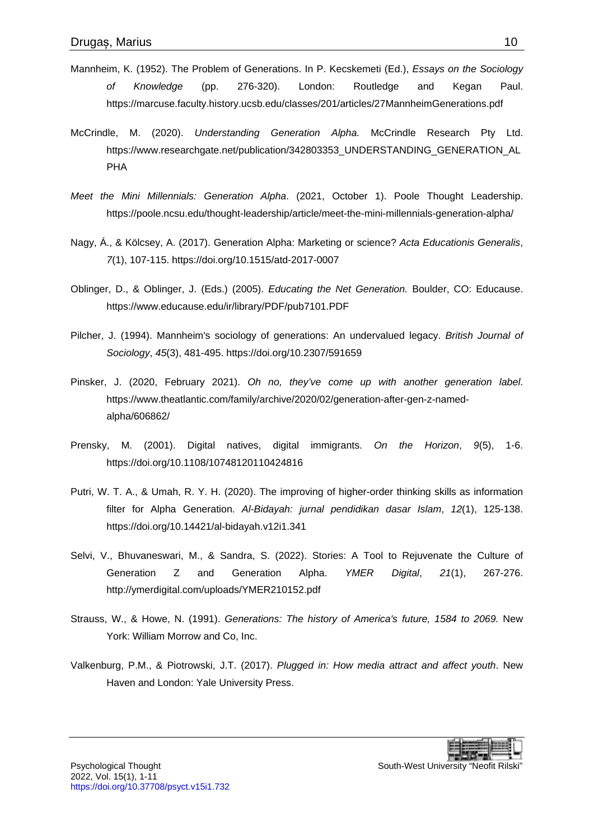- <span id="page-9-1"></span>Mannheim, K. (1952). The Problem of Generations. In P. Kecskemeti (Ed.), *Essays on the Sociology of Knowledge* (pp. 276-320). London: Routledge and Kegan Paul. <https://marcuse.faculty.history.ucsb.edu/classes/201/articles/27MannheimGenerations.pdf>
- <span id="page-9-5"></span>McCrindle, M. (2020). *Understanding Generation Alpha.* McCrindle Research Pty Ltd. [https://www.researchgate.net/publication/342803353\\_UNDERSTANDING\\_GENERATION\\_AL](https://www.researchgate.net/publication/342803353_UNDERSTANDING_GENERATION_ALPHA) [PHA](https://www.researchgate.net/publication/342803353_UNDERSTANDING_GENERATION_ALPHA)
- <span id="page-9-6"></span>*Meet the Mini Millennials: Generation Alpha*. (2021, October 1). Poole Thought Leadership. <https://poole.ncsu.edu/thought-leadership/article/meet-the-mini-millennials-generation-alpha/>
- <span id="page-9-10"></span>Nagy, Á., & Kölcsey, A. (2017). Generation Alpha: Marketing or science? *Acta Educationis Generalis*, *7*(1), 107-115.<https://doi.org/10.1515/atd-2017-0007>
- <span id="page-9-3"></span>Oblinger, D., & Oblinger, J. (Eds.) (2005). *Educating the Net Generation.* Boulder, CO: Educause. <https://www.educause.edu/ir/library/PDF/pub7101.PDF>
- <span id="page-9-0"></span>Pilcher, J. (1994). Mannheim's sociology of generations: An undervalued legacy. *British Journal of Sociology*, *45*(3), 481-495.<https://doi.org/10.2307/591659>
- <span id="page-9-11"></span>Pinsker, J. (2020, February 2021). *Oh no, they've come up with another generation label*. [https://www.theatlantic.com/family/archive/2020/02/generation-after-gen-z-named](https://www.theatlantic.com/family/archive/2020/02/generation-after-gen-z-named-alpha/606862/)[alpha/606862/](https://www.theatlantic.com/family/archive/2020/02/generation-after-gen-z-named-alpha/606862/)
- <span id="page-9-8"></span>Prensky, M. (2001). Digital natives, digital immigrants. *On the Horizon*, *9*(5), 1-6. <https://doi.org/10.1108/10748120110424816>
- <span id="page-9-7"></span>Putri, W. T. A., & Umah, R. Y. H. (2020). The improving of higher-order thinking skills as information filter for Alpha Generation. *Al-Bidayah: jurnal pendidikan dasar Islam*, *12*(1), 125-138. <https://doi.org/10.14421/al-bidayah.v12i1.341>
- <span id="page-9-9"></span>Selvi, V., Bhuvaneswari, M., & Sandra, S. (2022). Stories: A Tool to Rejuvenate the Culture of Generation Z and Generation Alpha. *YMER Digital*, *21*(1), 267-276. <http://ymerdigital.com/uploads/YMER210152.pdf>
- <span id="page-9-2"></span>Strauss, W., & Howe, N. (1991). *Generations: The history of America's future, 1584 to 2069.* New York: William Morrow and Co, Inc.
- <span id="page-9-4"></span>Valkenburg, P.M., & Piotrowski, J.T. (2017). *Plugged in: How media attract and affect youth*. New Haven and London: Yale University Press.